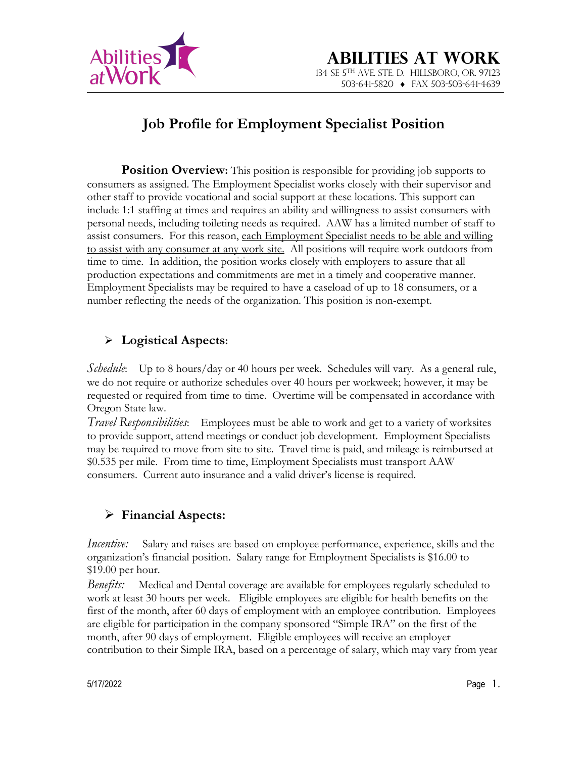

# **Job Profile for Employment Specialist Position**

**Position Overview:** This position is responsible for providing job supports to consumers as assigned. The Employment Specialist works closely with their supervisor and other staff to provide vocational and social support at these locations. This support can include 1:1 staffing at times and requires an ability and willingness to assist consumers with personal needs, including toileting needs as required. AAW has a limited number of staff to assist consumers. For this reason, each Employment Specialist needs to be able and willing to assist with any consumer at any work site. All positions will require work outdoors from time to time. In addition, the position works closely with employers to assure that all production expectations and commitments are met in a timely and cooperative manner. Employment Specialists may be required to have a caseload of up to 18 consumers, or a number reflecting the needs of the organization. This position is non-exempt.

### Ø **Logistical Aspects:**

*Schedule*: Up to 8 hours/day or 40 hours per week. Schedules will vary. As a general rule, we do not require or authorize schedules over 40 hours per workweek; however, it may be requested or required from time to time. Overtime will be compensated in accordance with Oregon State law.

*Travel Responsibilities*: Employees must be able to work and get to a variety of worksites to provide support, attend meetings or conduct job development. Employment Specialists may be required to move from site to site. Travel time is paid, and mileage is reimbursed at \$0.535 per mile. From time to time, Employment Specialists must transport AAW consumers. Current auto insurance and a valid driver's license is required.

# Ø **Financial Aspects:**

*Incentive:* Salary and raises are based on employee performance, experience, skills and the organization's financial position. Salary range for Employment Specialists is \$16.00 to \$19.00 per hour.

*Benefits:* Medical and Dental coverage are available for employees regularly scheduled to work at least 30 hours per week. Eligible employees are eligible for health benefits on the first of the month, after 60 days of employment with an employee contribution. Employees are eligible for participation in the company sponsored "Simple IRA" on the first of the month, after 90 days of employment. Eligible employees will receive an employer contribution to their Simple IRA, based on a percentage of salary, which may vary from year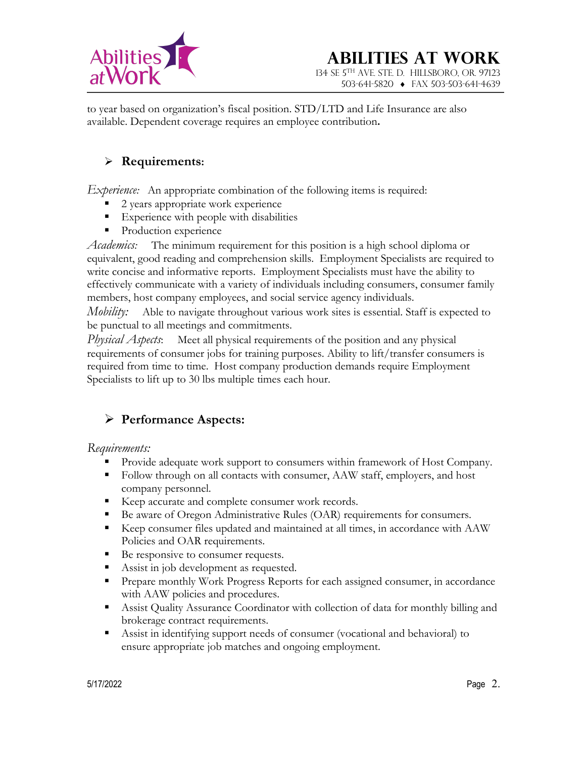

to year based on organization's fiscal position. STD/LTD and Life Insurance are also available. Dependent coverage requires an employee contribution**.**

#### Ø **Requirements:**

*Experience:* An appropriate combination of the following items is required:

- 2 years appropriate work experience
- Experience with people with disabilities
- Production experience

*Academics:* The minimum requirement for this position is a high school diploma or equivalent, good reading and comprehension skills. Employment Specialists are required to write concise and informative reports. Employment Specialists must have the ability to effectively communicate with a variety of individuals including consumers, consumer family members, host company employees, and social service agency individuals.

*Mobility:* Able to navigate throughout various work sites is essential. Staff is expected to be punctual to all meetings and commitments.

*Physical Aspects*: Meet all physical requirements of the position and any physical requirements of consumer jobs for training purposes. Ability to lift/transfer consumers is required from time to time. Host company production demands require Employment Specialists to lift up to 30 lbs multiple times each hour.

# Ø **Performance Aspects:**

#### *Requirements:*

- Provide adequate work support to consumers within framework of Host Company.
- Follow through on all contacts with consumer, AAW staff, employers, and host company personnel.
- Keep accurate and complete consumer work records.
- Be aware of Oregon Administrative Rules (OAR) requirements for consumers.
- § Keep consumer files updated and maintained at all times, in accordance with AAW Policies and OAR requirements.
- Be responsive to consumer requests.
- Assist in job development as requested.
- § Prepare monthly Work Progress Reports for each assigned consumer, in accordance with AAW policies and procedures.
- Assist Quality Assurance Coordinator with collection of data for monthly billing and brokerage contract requirements.
- Assist in identifying support needs of consumer (vocational and behavioral) to ensure appropriate job matches and ongoing employment.